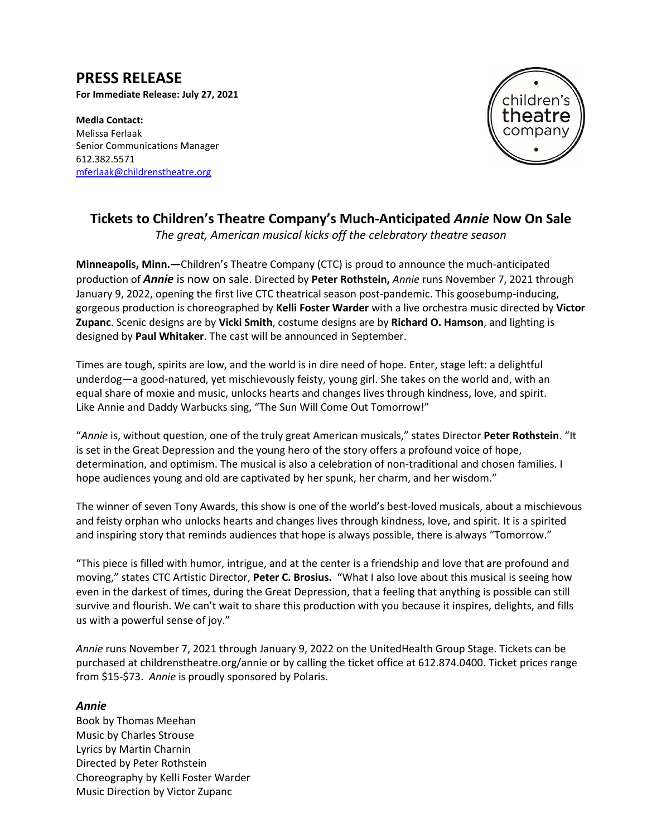# **PRESS RELEASE**

**For Immediate Release: July 27, 2021**

**Media Contact:**  Melissa Ferlaak Senior Communications Manager 612.382.5571 [mferlaak@childrenstheatre.org](mailto:mferlaak@childrenstheatre.org)



## **Tickets to Children's Theatre Company's Much-Anticipated** *Annie* **Now On Sale**

*The great, American musical kicks off the celebratory theatre season*

**Minneapolis, Minn.—**Children's Theatre Company (CTC) is proud to announce the much-anticipated production of *Annie* is now on sale. Directed by **Peter Rothstein,** *Annie* runs November 7, 2021 through January 9, 2022, opening the first live CTC theatrical season post-pandemic. This goosebump-inducing, gorgeous production is choreographed by **Kelli Foster Warder** with a live orchestra music directed by **Victor Zupanc**. Scenic designs are by **Vicki Smith**, costume designs are by **Richard O. Hamson**, and lighting is designed by **Paul Whitaker**. The cast will be announced in September.

Times are tough, spirits are low, and the world is in dire need of hope. Enter, stage left: a delightful underdog—a good-natured, yet mischievously feisty, young girl. She takes on the world and, with an equal share of moxie and music, unlocks hearts and changes lives through kindness, love, and spirit. Like Annie and Daddy Warbucks sing, "The Sun Will Come Out Tomorrow!"

"*Annie* is, without question, one of the truly great American musicals," states Director **Peter Rothstein**. "It is set in the Great Depression and the young hero of the story offers a profound voice of hope, determination, and optimism. The musical is also a celebration of non-traditional and chosen families. I hope audiences young and old are captivated by her spunk, her charm, and her wisdom."

The winner of seven Tony Awards, this show is one of the world's best-loved musicals, about a mischievous and feisty orphan who unlocks hearts and changes lives through kindness, love, and spirit. It is a spirited and inspiring story that reminds audiences that hope is always possible, there is always "Tomorrow."

"This piece is filled with humor, intrigue, and at the center is a friendship and love that are profound and moving," states CTC Artistic Director, **Peter C. Brosius.** "What I also love about this musical is seeing how even in the darkest of times, during the Great Depression, that a feeling that anything is possible can still survive and flourish. We can't wait to share this production with you because it inspires, delights, and fills us with a powerful sense of joy."

*Annie* runs November 7, 2021 through January 9, 2022 on the UnitedHealth Group Stage. Tickets can be purchased at childrenstheatre.org/annie or by calling the ticket office at 612.874.0400. Ticket prices range from \$15-\$73. *Annie* is proudly sponsored by Polaris.

#### *Annie*

Book by Thomas Meehan Music by Charles Strouse Lyrics by Martin Charnin Directed by Peter Rothstein Choreography by Kelli Foster Warder Music Direction by Victor Zupanc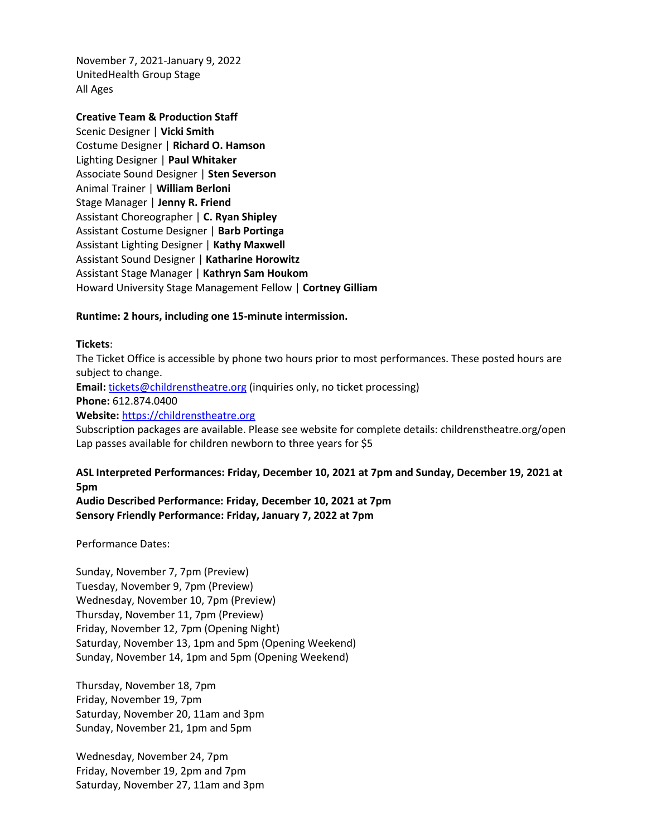November 7, 2021-January 9, 2022 UnitedHealth Group Stage All Ages

**Creative Team & Production Staff**  Scenic Designer | **Vicki Smith** Costume Designer | **Richard O. Hamson** Lighting Designer | **Paul Whitaker** Associate Sound Designer | **Sten Severson** Animal Trainer | **William Berloni** Stage Manager | **Jenny R. Friend**  Assistant Choreographer | **C. Ryan Shipley** Assistant Costume Designer | **Barb Portinga** Assistant Lighting Designer | **Kathy Maxwell** Assistant Sound Designer | **Katharine Horowitz** Assistant Stage Manager | **Kathryn Sam Houkom** Howard University Stage Management Fellow | **Cortney Gilliam**

#### **Runtime: 2 hours, including one 15-minute intermission.**

#### **Tickets**:

The Ticket Office is accessible by phone two hours prior to most performances. These posted hours are subject to change. **Email:** [tickets@childrenstheatre.org](mailto:tickets@childrenstheatre.org) (inquiries only, no ticket processing) **Phone:** 612.874.0400 **Website:** [https://childrenstheatre.org](https://childrenstheatre.org/) Subscription packages are available. Please see website for complete details: childrenstheatre.org/open

### **ASL Interpreted Performances: Friday, December 10, 2021 at 7pm and Sunday, December 19, 2021 at 5pm**

**Audio Described Performance: Friday, December 10, 2021 at 7pm Sensory Friendly Performance: Friday, January 7, 2022 at 7pm**

Lap passes available for children newborn to three years for \$5

Performance Dates:

Sunday, November 7, 7pm (Preview) Tuesday, November 9, 7pm (Preview) Wednesday, November 10, 7pm (Preview) Thursday, November 11, 7pm (Preview) Friday, November 12, 7pm (Opening Night) Saturday, November 13, 1pm and 5pm (Opening Weekend) Sunday, November 14, 1pm and 5pm (Opening Weekend)

Thursday, November 18, 7pm Friday, November 19, 7pm Saturday, November 20, 11am and 3pm Sunday, November 21, 1pm and 5pm

Wednesday, November 24, 7pm Friday, November 19, 2pm and 7pm Saturday, November 27, 11am and 3pm